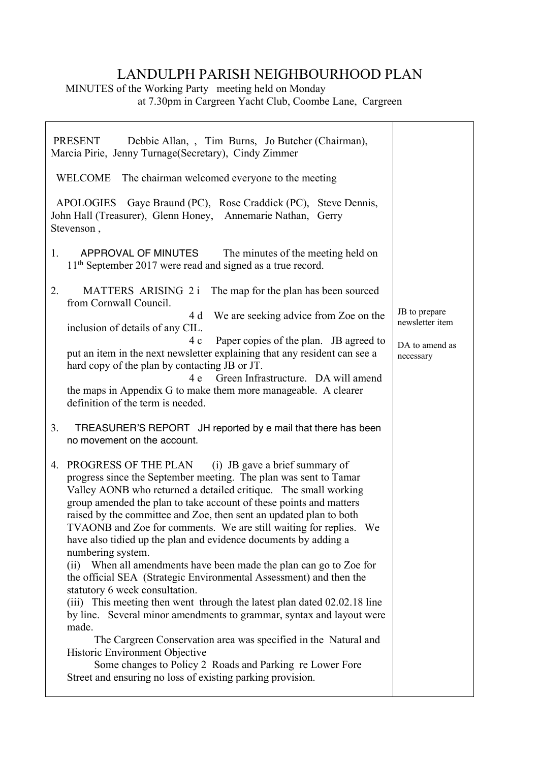## LANDULPH PARISH NEIGHBOURHOOD PLAN

 $\overline{\phantom{a}}$ 

MINUTES of the Working Party meeting held on Monday at 7.30pm in Cargreen Yacht Club, Coombe Lane, Cargreen

| Debbie Allan, , Tim Burns, Jo Butcher (Chairman),<br>PRESENT<br>Marcia Pirie, Jenny Turnage (Secretary), Cindy Zimmer                                                                                                                                                                                                                                                                                                                                                                                                                                                                                                                                                                                                                                                                                                                                                                                                                                                                                                                                                            |                                  |
|----------------------------------------------------------------------------------------------------------------------------------------------------------------------------------------------------------------------------------------------------------------------------------------------------------------------------------------------------------------------------------------------------------------------------------------------------------------------------------------------------------------------------------------------------------------------------------------------------------------------------------------------------------------------------------------------------------------------------------------------------------------------------------------------------------------------------------------------------------------------------------------------------------------------------------------------------------------------------------------------------------------------------------------------------------------------------------|----------------------------------|
| WELCOME The chairman welcomed everyone to the meeting                                                                                                                                                                                                                                                                                                                                                                                                                                                                                                                                                                                                                                                                                                                                                                                                                                                                                                                                                                                                                            |                                  |
| Gaye Braund (PC), Rose Craddick (PC), Steve Dennis,<br>APOLOGIES<br>John Hall (Treasurer), Glenn Honey, Annemarie Nathan, Gerry<br>Stevenson,                                                                                                                                                                                                                                                                                                                                                                                                                                                                                                                                                                                                                                                                                                                                                                                                                                                                                                                                    |                                  |
| $1_{\cdot}$<br>APPROVAL OF MINUTES<br>The minutes of the meeting held on<br>11 <sup>th</sup> September 2017 were read and signed as a true record.                                                                                                                                                                                                                                                                                                                                                                                                                                                                                                                                                                                                                                                                                                                                                                                                                                                                                                                               |                                  |
| MATTERS ARISING 2 i The map for the plan has been sourced<br>2.<br>from Cornwall Council.                                                                                                                                                                                                                                                                                                                                                                                                                                                                                                                                                                                                                                                                                                                                                                                                                                                                                                                                                                                        |                                  |
| We are seeking advice from Zoe on the<br>4 d<br>inclusion of details of any CIL.                                                                                                                                                                                                                                                                                                                                                                                                                                                                                                                                                                                                                                                                                                                                                                                                                                                                                                                                                                                                 | JB to prepare<br>newsletter item |
| Paper copies of the plan. JB agreed to<br>4 c<br>put an item in the next newsletter explaining that any resident can see a<br>hard copy of the plan by contacting JB or JT.<br>Green Infrastructure. DA will amend<br>4 e<br>the maps in Appendix G to make them more manageable. A clearer                                                                                                                                                                                                                                                                                                                                                                                                                                                                                                                                                                                                                                                                                                                                                                                      | DA to amend as<br>necessary      |
| definition of the term is needed.                                                                                                                                                                                                                                                                                                                                                                                                                                                                                                                                                                                                                                                                                                                                                                                                                                                                                                                                                                                                                                                |                                  |
| 3.<br>TREASURER'S REPORT JH reported by e mail that there has been<br>no movement on the account.                                                                                                                                                                                                                                                                                                                                                                                                                                                                                                                                                                                                                                                                                                                                                                                                                                                                                                                                                                                |                                  |
| 4. PROGRESS OF THE PLAN (i) JB gave a brief summary of<br>progress since the September meeting. The plan was sent to Tamar<br>Valley AONB who returned a detailed critique. The small working<br>group amended the plan to take account of these points and matters<br>raised by the committee and Zoe, then sent an updated plan to both<br>TVAONB and Zoe for comments. We are still waiting for replies. We<br>have also tidied up the plan and evidence documents by adding a<br>numbering system.<br>(ii) When all amendments have been made the plan can go to Zoe for<br>the official SEA (Strategic Environmental Assessment) and then the<br>statutory 6 week consultation.<br>(iii) This meeting then went through the latest plan dated 02.02.18 line<br>by line. Several minor amendments to grammar, syntax and layout were<br>made.<br>The Cargreen Conservation area was specified in the Natural and<br>Historic Environment Objective<br>Some changes to Policy 2 Roads and Parking re Lower Fore<br>Street and ensuring no loss of existing parking provision. |                                  |